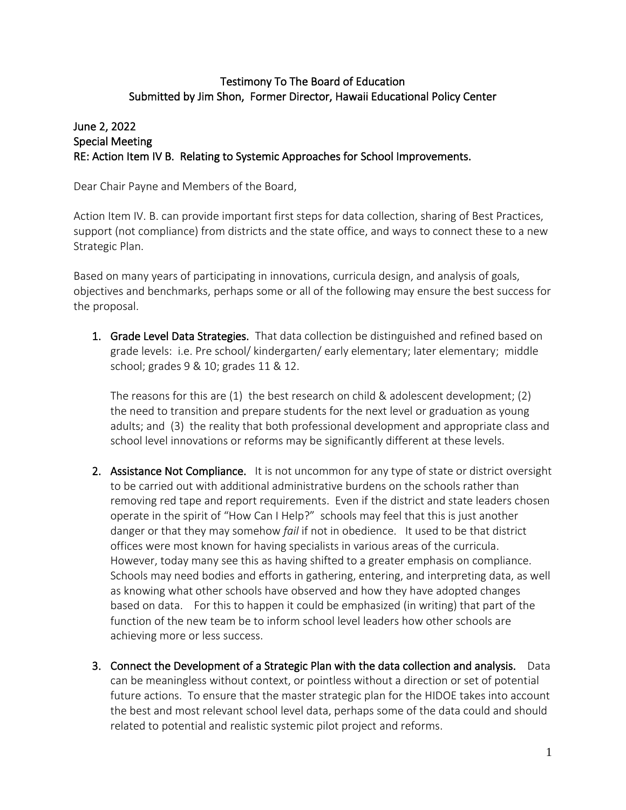## Testimony To The Board of Education Submitted by Jim Shon, Former Director, Hawaii Educational Policy Center

## June 2, 2022 Special Meeting RE: Action Item IV B. Relating to Systemic Approaches for School Improvements.

Dear Chair Payne and Members of the Board,

Action Item IV. B. can provide important first steps for data collection, sharing of Best Practices, support (not compliance) from districts and the state office, and ways to connect these to a new Strategic Plan.

Based on many years of participating in innovations, curricula design, and analysis of goals, objectives and benchmarks, perhaps some or all of the following may ensure the best success for the proposal.

1. Grade Level Data Strategies. That data collection be distinguished and refined based on grade levels: i.e. Pre school/ kindergarten/ early elementary; later elementary; middle school; grades 9 & 10; grades 11 & 12.

The reasons for this are (1) the best research on child & adolescent development; (2) the need to transition and prepare students for the next level or graduation as young adults; and (3) the reality that both professional development and appropriate class and school level innovations or reforms may be significantly different at these levels.

- 2. Assistance Not Compliance. It is not uncommon for any type of state or district oversight to be carried out with additional administrative burdens on the schools rather than removing red tape and report requirements. Even if the district and state leaders chosen operate in the spirit of "How Can I Help?" schools may feel that this is just another danger or that they may somehow *fail* if not in obedience. It used to be that district offices were most known for having specialists in various areas of the curricula. However, today many see this as having shifted to a greater emphasis on compliance. Schools may need bodies and efforts in gathering, entering, and interpreting data, as well as knowing what other schools have observed and how they have adopted changes based on data. For this to happen it could be emphasized (in writing) that part of the function of the new team be to inform school level leaders how other schools are achieving more or less success.
- 3. Connect the Development of a Strategic Plan with the data collection and analysis. Data can be meaningless without context, or pointless without a direction or set of potential future actions. To ensure that the master strategic plan for the HIDOE takes into account the best and most relevant school level data, perhaps some of the data could and should related to potential and realistic systemic pilot project and reforms.